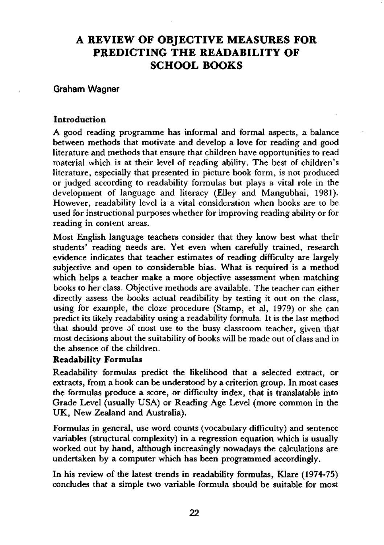# **A REVIEW OF OBJECTIVE MEASURES FOR PREDICTING THE READABILITY OF SCHOOL BOOKS**

### Graham Wagner

### **Introduction**

A good reading programme has informal and formal aspects, a balance between methods that motivate and develop a love for reading and good literature and methods that ensure that children have opportunities to read material which is at their level of reading ability. The best of children's literature, especially that presented in picture book form, is not produced or judged according to readability formulas but plays a vital role in the development of language and literacy (Elley and Mangubhai, 1981). However, readability level is a vital consideration when books are to be used for instructional purposes whether for improving reading ability or for reading in content areas.

Most English language teachers consider that they know best what their students' reading needs are. Yet even when carefully trained, research evidence indicates that teacher estimates of reading difficulty are largely subjective and open to considerable bias. What is required is a method which helps a teacher make a more objective assessment when matching books to her class. Objective methods are available. The teacher can either directly assess the books actual readibility by testing it out on the class, using for example, the cloze procedure (Stamp, et al, 1979) or she can predict its likely readability using a readability formula. It is the last method that should prove of most use to the busy classroom teacher, given that most decisions about the suitability of books will be made out of class and in the absence of the children.

### **Readability Formulas**

Readability formulas predict the likelihood that a selected extract, or extracts, from a book can be understood by a criterion group. In most cases the formulas produce a score, or difficulty index, that is translatable into Grade Level (usually USA) or Reading Age Level (more common in the UK, New Zealand and Australia).

Formulas in general, use word counts (vocabulary difficulty) and sentence variables (structural complexity) in a regression equation which is usually worked out by hand, although increasingly nowadays the calculations are undertaken by a computer which has been programmed accordingly.

In his review of the latest trends in readability formulas, Klare (1974-75) concludes that a simple two variable formula should be suitable for most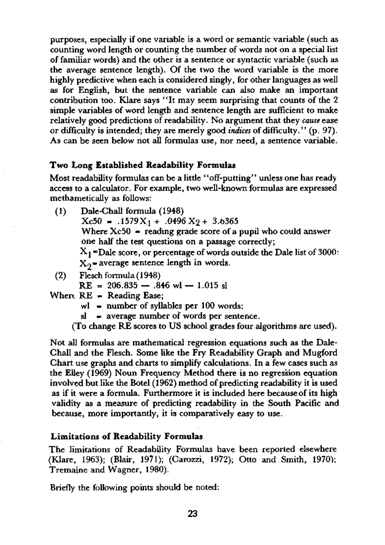purposes, especially if one variable is a word or semantic variable (such as counting word length or counting the number of words not on a special list of familiar words) and the other is a sentence or syntactic variable (such as the average sentence length). Of the two the word variable is the more highly predictive when each is considered singly, for other languages as well as for English, but the sentence variable can also make an important contribution too. Klare says "It may seem surprising that counts of the 2 simple variables of word length and sentence length are sufficient to make relatively good predictions of readability. No argument that they *cause* ease or difficulty is intended; they are merely good *indices* of difficulty." (p. 97). As can be seen below not all formulas use, nor need, a sentence variable.

#### **Two Long Established Readability Formulas**

Most readability formulas can be a little "off-putting" unless one has ready access to a calculator. For example, two well-known formulas are expressed methametically as follows:

- (1) Dale-Chall formula (1948)  $Xc50 = .1579X<sub>1</sub> + .0496X<sub>2</sub> + 3.6365$ Where  $Xc50$  = reading grade score of a pupil who could answer one half the test questions on a passage correctly;  $X_1$ =Dale score, or percentage of words outside the Dale list of 3000:  $X_0$ = average sentence length in words.
- (2) Flesch formula (1948)

 $RE = 206.835 - .846$  wl  $- 1.015$  sl

- When. RE = Reading Ease;
	- $wl$  = number of syllables per 100 words;
	- $sl = average number of words per sentence.$

(To change RE scores to US school grades four algorithms are used).

Not all formulas are mathematical regression equations such as the Dale-Chall and the Flesch. Some like the Fry Readability Graph and Mugford Chart use graphs and charts to simplify calculations. In a few cases such as the Elley (1969) Noun Frequency Method there is no regression equation involved but like the Botel (1962) method of predicting readability it is used as if it were a formula. Furthermore it is included here because of its high validity as a measure of predicting readability in the South Pacific and because, more importantly, it is comparatively easy to use.

## **Limitations of Readability Formulas**

The limitations of Readability Formulas have been reported elsewhere (Klare, 1963); (Blair, 1971); (Carozzi, 1972); Otto and Smith, 1970); Tremaine and Wagner, 1980).

Briefly the following points should be noted: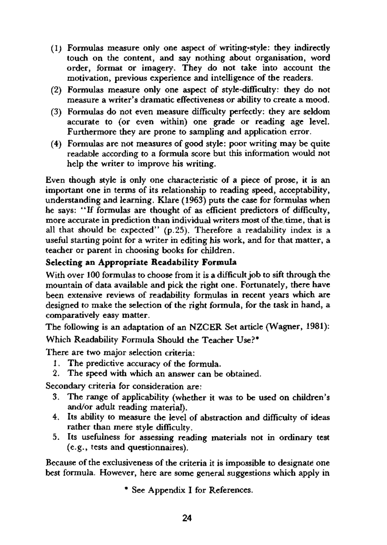- (1) Formulas measure only one aspect of writing-style: thy indirecdy touch on the content, and say nothing about organisation, word order, format or imagery. They do not take into account the motivation, previous experience and intelligence of the readers.
- (2) Formulas measure only one aspect of style-difficulty: they do not measure a writer's dramatic effectiveness or ability to create a mood.
- (3) Formulas do not even measure difficulty perfecdy: they are seldom accurate to (or even within) one grade or reading age level. Furthermore they are prone to sampling and application error.
- (4) Formulas are not measures of good style: poor writing may be quite readable according to a formula score but this information would not help the writer to improve his writing.

Even though style is only one characteristic of a piece of prose, it is an important one in terms of its relationship to reading speed, acceptability, understanding and learning. Klare (1963) puts the case for formulas when he says: "If formulas are thought of as efficient predictors of difficulty, more accurate in prediction than individual writers most of the, time, that is all that should be expected"  $(p.25)$ . Therefore a readability index is a useful starting point for a writer in editing his work, and for that matter, a teacher or parent in choosing books for children.

# **Selecting an Appropriate Readability Formula**

With over 100 formulas to choose from it is a difficult job to sift through the mountain of data available and pick the right one. Fortunately, there have been extensive reviews of readability formulas in recent years which are designed to make the selection of the right formula, for the task in hand, a comparatively easy matter.

The following is an adaptation of an NZCER Set article (Wagner, 1981):

Which Readability Formula Should the Teacher Use?\*

There are two major selection criteria:

- 1. The predictive accuracy of the formula.
- 2. The speed with which an answer can be obtained.

Secondary criteria for consideration are:

- 3. The range of applicability (whether it was to be used on children's and/or adult reading material).
- 4. Its ability to measure the level of abstraction and difficulty of ideas rather than mere style difficulty.
- 5. Its usefulness for assessing reading materials not in ordinary test (e.g., tests and questionnaires).

Because of the exclusiveness of the criteria it is impossible to designate one best formula. However, here are some general suggestions which apply in

\* See Appendix I for References.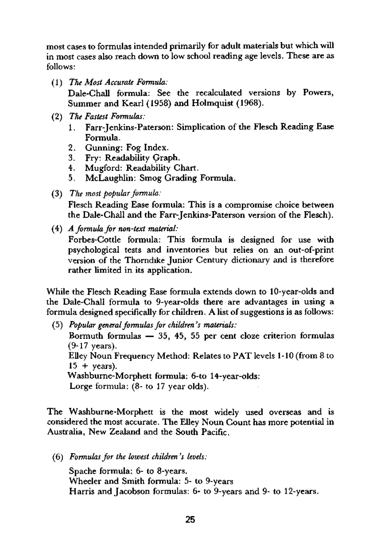most cases to formulas intended primarily for adult materials but which will in most cases also reach down to low school reading age levels. These are as follows:

(1) *The Most Accurate Formula:* 

Dale-Chall formula: See the recalculated versions by Powers, Summer and Kearl (1958) and Holmquist (1968).

- (2) *The Fastest Formulas:* 
	- 1. Farr-Jenkins-Paterson: Simplication of the Flesch Reading Ease Formula.
	- 2. Gunning: Fog Index.
	- 3. Fry: Readability Graph.
	- 4. Mugford: Readability Chart.
	- 5. McLaughlin: Smog Grading Formula.
- (3) *The most popular formula:*  Flesch Reading Ease formula: This is a compromise choice between the Dale-Chall and the Farr-Jenkins-Paterson version of the Flesch).
- (4) *A formula for non-text material:*

Forbes-Cottle formula: This formula is designed for use with psychological tests and inventories but relies on an out-of-print version of the Thorndike Junior Century dictionary and is therefore rather limited in its application.

While the Flesch Reading Ease formula extends down to 10-year-olds and the Dale-Chall formula to 9-year-olds there are advantages in using a formula designed specifically for children. A list of suggestions is as follows:

(5) *Popular general formulas for children's materials:*  Bormuth formulas — 35, 45, 55 per cent cloze criterion formulas (9-17 years). Elley Noun Frequency Method: Relates to PAT levels 1-10 (from 8 to  $15 + \text{years}$ ). Washburne-Morphett formula: 6-to 14-year-olds: Lorge formula: (8- to 17 year olds).

The Washburne-Morphett is the most widely used overseas and is considered the most accurate. The Elley Noun Count has more potential in Australia, New Zealand and the South Pacific.

(6) *Formulas for the lowest children's levels:* 

Spache formula: 6- to 8-years. Wheeler and Smith formula: 5- to 9-years Harris and Jacobson formulas: 6- to 9-years and 9- to 12-years.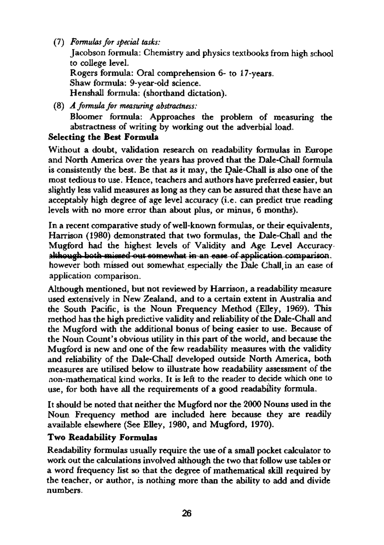(7) *Formulas for special tasks:* 

Jacobson formula: Chemistry and physics textbooks from high school to college level. Rogers formula: Oral comprehension 6- to 17-years. Shaw formula: 9-year-old science. Henshall formula: (shorthand dictation).

(8) *A formula for measuring abstractness:*  Bloomer formula: Approaches the problem of measuring the abstractness of writing by working out the adverbial load.

# **Selecting the Best Formula**

Without a doubt, validation research on readability formulas in Europe and North America over the years has proved that the Dale-Chall formula is consistently the best. Be that as it may, the Dale-Chall is also one of the most tedious to use. Hence, teachers and authors have preferred easier, but slightly less valid measures as long as they can be assured that these have an acceptably high degree of age level accuracy (i.e. can predict true reading levels with no more error than about plus, or minus, 6 months).

In a recent comparative study of well-known formulas, or their equivalents, Harrison (1980) demonstrated that two formulas, the Dale-Chall and the Mugford had the highest levels of Validity and Age Level Accuracyalthough both missed out somewhat in an ease of application comparison. however bodh missed out somewhat especially the Dale Chall,in an ease of application comparison.

Although mentioned, but not reviewed by Harrison, a readability measure used extensively in New Zealand, and to a certain extent in Australia and the South Pacific, is the Noun Frequency Method (Elley, 1969). This method has the high predictive validity and reliability of the Dale-Chall and the Mugford with the additional bonus of being easier to use. Because of the Noun Count's obvious utility in this part of the world, and because the Mugford is new and one of the few readability measures with the validity and reliability of the Dale-Chall developed outside North America, both measures are utilised below to illustrate how readability assessment of the non-mathematical kind works. It is left to the reader to decide which one to use, for both have all the requirements of a good readability formula.

It should be noted that neither the Mugford nor the 2000 Nouns used in the Noun Frequency method are included here because they are readily available elsewhere (See Elley, 1980, and Mugford, 1970).

# **Two Readability Formulas**

Readability formulas usually require the use of a small pocket calculator to work out the calculations involved although the two that follow use tables or a word frequency list so that the degree of mathematical skill required by the teacher, or author, is nothing more than the ability to add and divide numbers.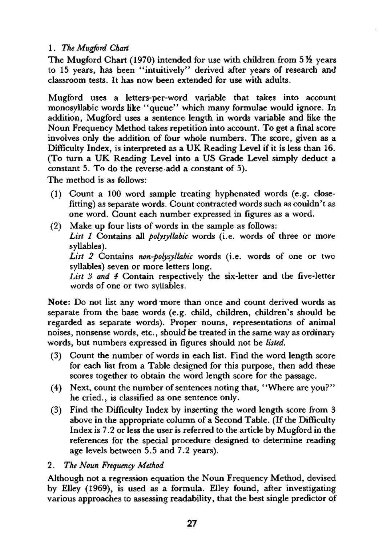1. *The Mugford Chart* 

The Mugford Chart (1970) intended for use with children from 5½ years to 15 years, has been "intuitively" derived after years of research and classroom tests. It has now been extended for use with adults.

Mugford uses a letters-per-word variable that takes into account monosyllabic words like "queue" which many formulae would ignore. In addition, Mugford uses a sentence length in words variable and like the Noun Frequency Method takes repetition into account. To get a final score involves only the addition of four whole numbers. The score, given as a Difficulty Index, is interpreted as a UK Reading Level if it is less than 16. (To turn a UK Reading Level into a US Grade Level simply deduct a constant 5. To do the reverse add a constant of 5).

The method is as follows:

- (1) Count a 100 word sample treating hyphenated words (e.g. closefitting) as separate words. Count contracted words such as couldn't as one word. Count each number expressed in figures as a word.
- (2) Make up four lists of words in the sample as follows: *List 1* Contains all *polysyllabic* words (i.e. words of three or more syllables). *List 2* Contains *non-polysyllabic* words (i.e. words of one or two syllables) seven or more letters long. *List 3 and 4* Contain respectively the six-letter and the five-letter

words of one or two syllables.

Note: Do not list any word more than once and count derived words as separate from the base words (e.g. child, children, children's should be regarded as separate words). Proper nouns, representations of animal noises, nonsense words, etc., should be treated in the same way as ordinary words, but numbers expressed in figures should not be *listed.* 

- (3) Count the number of words in each list. Find the word length score for each list from a Table designed for this purpose, then add these scores together to obtain the word length score for the passage.
- $(4)$  Next, count the number of sentences noting that, "Where are you?" he cried., is classified as one sentence only.
- (3) Find the Difficulty Index by inserting the word length score from 3 above in the appropriate column of a Second Table. (If the Difficulty Index is 7.2 or less the user is referred to the article by Mugford in the references for the special procedure designed to determine reading age levels between 5.5 and 7.2 years).

2. *The Noun Frequency Method* 

Although not a regression equation the Noun Frequency Method, devised by Elley (1969), is used as a formula. Elley found, after investigating various approaches to assessing readability, that the best single predictor of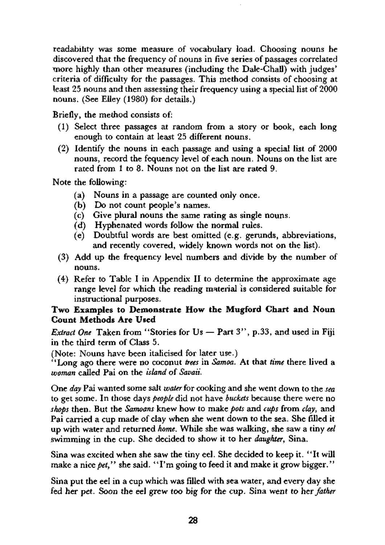readability was some measure of vocabulary load. Choosing nouns he discovered that the frequency of nouns in five series of passages correlated more highly than other measures (including the Dale-Chall) with judges' criteria of difficulty for the passages. This method consists of choosing at least 25 nouns and then assessing their frequency using a special list of 2000 nouns. (See Elley (1980) for details.)

Briefly, the mediod consists of:

- (1) Select three passages at random from a story or book, each long enough to contain at least 25 different nouns.
- (2) Identify the nouns in each passage and using a special list of 2000 nouns, record the fequency level of each noun. Nouns on the list are rated from 1 to 8. Nouns not on the list are rated 9.

Note the following:

- (a) Nouns in a passage are counted only once.
- (b) Do not count people's names.
- (c) Give plural nouns the same rating as single nouns.
- (d) Hyphenated words follow the normal rules.
- (e) Doubtful words are best omitted (e.g. gerunds, abbreviations, and recently covered, widely known words not on the list).
- (3) Add up the frequency level numbers and divide by the number of nouns.
- (4) Refer to Table I in Appendix II to determine the approximate age range level for which the reading material is considered suitable for instructional purposes.

### **Two Examples to Demonstrate How the Mugford Chart and Noun Count Methods Are Used**

*Extract One* Taken from "Stories for Us — Part 3" , p.33, and used in Fiji in the third term of Class 5.

(Note: Nouns have been italicised for later use.)

"Long ago there were no coconut *trees* in *Samoa.* At that *time* there lived a *woman* called Pai on the *island* of *Savaii.* 

One *day* Pai wanted some salt *water* for cooking and she went down to the *sea*  to get some. In those days *people* did not have *buckets* because there were no *shops* then. But the *Samoans* knew how to make *pots* and *cups* from *clay,* and Pai carried a cup made of clay when she went down to the sea. She filled it up with water and returned *home.* While she was walking, she saw a tiny *eel*  swimming in the cup. She decided to show it to her *daughter,* Sina.

Sina was excited when she saw the tiny eel. She decided to keep it. "It will make a nice *pet*," she said. "I'm going to feed it and make it grow bigger."

Sina put the eel in a cup which was filled with sea water, and every day she fed her pet. Soon the eel grew too big for the cup. Sina went to her *father*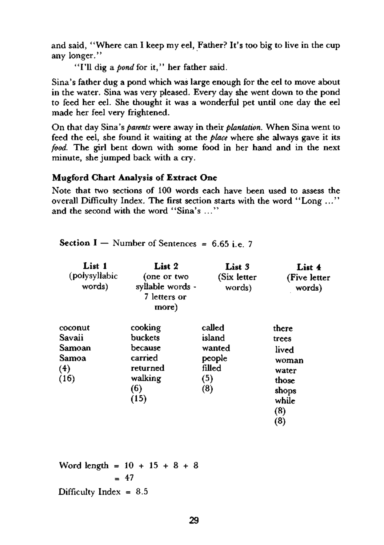and said, "Where can I keep my eel, Father? It's too big to live in the cup any longer."

**"I'll** dig a *pond* for it, " her father said.

Sina's father dug a pond which was large enough for the eel to move about in the water. Sina was very pleased. Every day she went down to the pond to feed her eel. She thought it was a wonderful pet until one day the eel made her feel very frightened.

On that day Sina's *parents* were away in their *plantation.* When Sina went to feed the eel, she found it waiting at the *place* where she always gave it its *food.* The girl bent down with some food in her hand and in the next minute, she jumped back with a cry.

### **Mugford Chart Analysis of Extract One**

Note that two sections of 100 words each have been used to assess the overall Difficulty Index. The first section starts with the word "Long ... " and the second with the word "Sina's ... "

**Section I** – Number of Sentences = 6.65 i.e. 7

| List 1<br>(polysyllabic<br>words)                   | List 2<br>(one or two<br>syllable words -<br>7 letters or<br>more)             | List 3<br>(Six letter<br>words)                              | List 4<br>(Five letter)<br>words)                                                  |
|-----------------------------------------------------|--------------------------------------------------------------------------------|--------------------------------------------------------------|------------------------------------------------------------------------------------|
| coconut<br>Savaii<br>Samoan<br>Samoa<br>(4)<br>(16) | cooking<br>buckets<br>because<br>carried<br>returned<br>walking<br>(6)<br>(15) | called<br>island<br>wanted<br>people<br>filled<br>(5)<br>(8) | there<br>trees<br>lived<br>woman<br>water<br>those<br>shops<br>while<br>(8)<br>(8) |

Word length =  $10 + 15 + 8 + 8$  $= 47$ Difficulty Index  $= 8.5$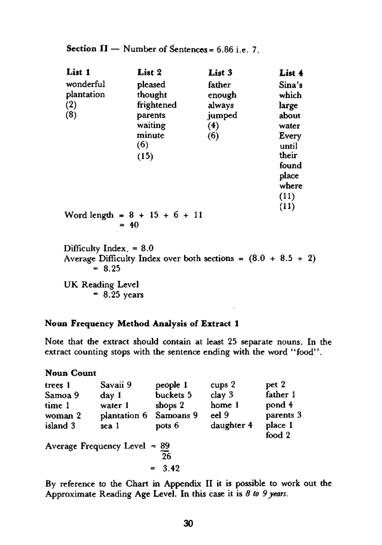|  |  | <b>Section II</b> — Number of Sentences = $6.86$ i.e. 7. |
|--|--|----------------------------------------------------------|
|--|--|----------------------------------------------------------|

| List 1                    | List 2                                                          | List 3 | List 4 |
|---------------------------|-----------------------------------------------------------------|--------|--------|
| wonderful                 | pleased                                                         | father | Sina's |
| plantation                | thought                                                         | enough | which  |
| (2)                       | frightened                                                      | always | large  |
| (8)                       | parents                                                         | jumped | about  |
|                           | waiting                                                         | (4)    | water  |
|                           | minute                                                          | (6)    | Every  |
|                           | (6)                                                             |        | until  |
|                           | (15)                                                            |        | their  |
|                           |                                                                 |        | found  |
|                           |                                                                 |        | place  |
|                           |                                                                 |        | where  |
|                           |                                                                 |        | (11)   |
|                           |                                                                 |        |        |
|                           | Word length = $8 + 15 + 6 + 11$                                 |        | (11)   |
|                           | $= 40$                                                          |        |        |
|                           |                                                                 |        |        |
| Difficulty Index. $= 8.0$ |                                                                 |        |        |
|                           | Average Difficulty Index over both sections = $(8.0 + 8.5 + 2)$ |        |        |
| $= 8.25$                  |                                                                 |        |        |

UK Reading Level  $= 8.25$  years

### **Noun Frequency Method Analysis of Extract 1**

Note that the extract should contain at least 25 separate nouns. In the extract counting stops with the sentence ending with the word "food".

## **Noun Count**

| trees 1                        | Savaii 9               | people 1  | cups 2     | pet 2             |  |
|--------------------------------|------------------------|-----------|------------|-------------------|--|
| Samoa 9                        | day 1                  | buckets 5 | clay 3     | father 1          |  |
| time 1                         | water 1                | shops 2   | home 1     | pond 4            |  |
| woman 2                        | plantation 6 Samoans 9 |           | eel 9      | parents 3         |  |
| island 3                       | sea 1                  | pots 6    | daughter 4 | place 1<br>food 2 |  |
| Average Frequency Level $= 89$ |                        |           |            |                   |  |
|                                |                        | 26        |            |                   |  |
|                                |                        | $= 3.42$  |            |                   |  |

By reference to the Chart in Appendix II it is possible to work out the Approximate Reading Age Level. In this case it is *8 to 9 years .*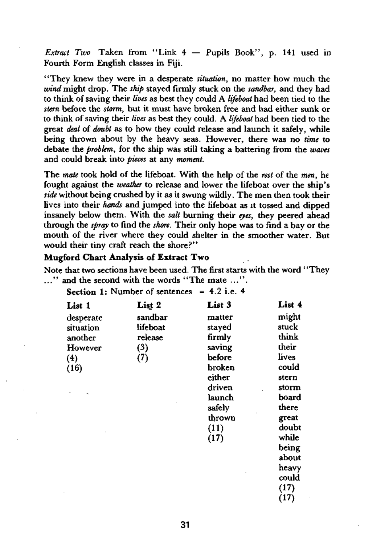*Extract Two* Taken from "Link 4 — Pupils Book", p. 141 used in Fourth Form English classes in Fiji.

"They knew they were in a desperate *situation*, no matter how much the *wind* might drop. The *ship* stayed firmly stuck on the *sandbar,* and they had to think of saving their *lives* as best they could A *lifeboat* had been tied to the *stern* before the *storm,* but it must have broken free and had either sunk or to think of saving their *lives* as best they could. A *lifeboat* had been tied to the great *deal* of *doubt* as to how they could release and launch it safely, while being thrown about by the heavy seas. However, there was no *time* to debate the *problem,* for the ship was still taking a battering from the *waves*  and could break into *pieces* at any *moment.* 

The *mate* took hold of the lifeboat. With the help of the *rest* of the *men,* he fought against the *weather* to release and lower the lifeboat over the ship's *side* without being crushed by it as it swung wildly. The men then took their lives into their *hands* and jumped into the lifeboat as it tossed and dipped insanely below them. With the *salt* burning dieir *eyes,* they peered ahead through the *spray* to find the *shore.* Their only hope was to find a bay or the mouth of the river where they could shelter in the smoother water. But would their tiny craft reach the shore?"

### **Mugford Chart Analysis of Extract Two**

Note that two sections have been used. The first starts with the word ' 'They  $\ldots$ " and the second with the words "The mate  $\ldots$ ".

**Section 1:**  Number of sentences = 4.2 i.e. 4

| List 1    | List 2   | List 3 | List 4 |
|-----------|----------|--------|--------|
| desperate | sandbar  | matter | might  |
| situation | lifeboat | stayed | stuck  |
| another   | release  | firmly | think  |
| However   | (3)      | saving | their  |
| (4)       | (7)      | before | lives  |
| (16)      |          | broken | could  |
|           |          | either | stern  |
|           |          | driven | storm  |
|           |          | launch | board  |
|           |          | safely | there  |
|           |          | thrown | great  |
|           |          | (11)   | doubt  |
|           |          | (17)   | while  |
|           |          |        | being  |
|           |          |        | about  |
|           |          |        | heavy  |
|           |          |        | could  |
|           |          |        | (17)   |
|           |          |        | (17)   |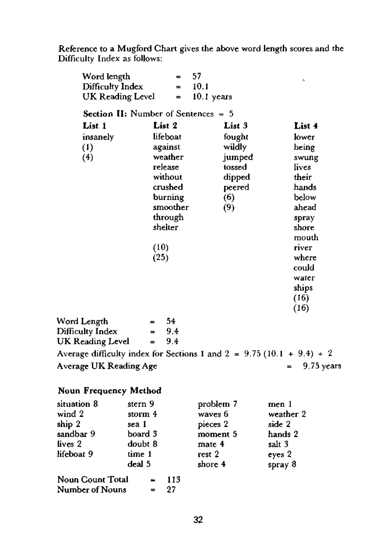Reference to a Mugford Chart gives the above word length scores and the Difficulty Index as follows:

| Word length             |                                              | $\qquad \qquad =$ | 57                   | r.                                                                      |
|-------------------------|----------------------------------------------|-------------------|----------------------|-------------------------------------------------------------------------|
| Difficulty Index        |                                              | $=$               | 10.1                 |                                                                         |
| UK Reading Level        |                                              | $\equiv$          | 10.1 years           |                                                                         |
|                         | <b>Section II:</b> Number of Sentences $= 5$ |                   |                      |                                                                         |
| List 1                  | List 2                                       |                   | List 3               | List 4                                                                  |
| insanely                | lifeboat                                     |                   | fought               | lower                                                                   |
| $\left(1\right)$        | against                                      |                   | wildly               | being                                                                   |
| (4)                     | weather                                      |                   | jumped               | swung                                                                   |
|                         | release                                      |                   | tossed               | lives                                                                   |
|                         | without                                      |                   | dipped               | their                                                                   |
|                         | crushed                                      |                   | peered               | hands                                                                   |
|                         | burning                                      |                   | (6)                  | below                                                                   |
|                         |                                              | smoother          | (9)                  | ahead                                                                   |
|                         | through                                      |                   |                      | spray                                                                   |
|                         | shelter                                      |                   |                      | shore                                                                   |
|                         |                                              |                   |                      | mouth                                                                   |
|                         | (10)                                         |                   |                      | river                                                                   |
|                         | (25)                                         |                   |                      | where                                                                   |
|                         |                                              |                   |                      | could                                                                   |
|                         |                                              |                   |                      | water                                                                   |
|                         |                                              |                   |                      | ships                                                                   |
|                         |                                              |                   |                      | (16)                                                                    |
|                         |                                              |                   |                      | (16)                                                                    |
| Word Length             |                                              | 54                |                      |                                                                         |
| Difficulty Index        | =                                            | 9.4               |                      |                                                                         |
| UK Reading Level        | $=$                                          | 9.4               |                      |                                                                         |
|                         |                                              |                   |                      | Average difficulty index for Sections 1 and $2 = 9.75 (10.1 + 9.4) + 2$ |
| Average UK Reading Age  |                                              |                   |                      | 9.75 years<br>$\equiv$                                                  |
| Noun Frequency Method   |                                              |                   |                      |                                                                         |
|                         |                                              |                   |                      |                                                                         |
| situation 8<br>wind 2   | stern 9                                      |                   | problem 7            | men 1<br>weather 2                                                      |
|                         | storm $4$                                    |                   | waves 6              | side 2                                                                  |
| ship 2<br>sandbar 9     | sea 1<br>board 3                             |                   | pieces 2<br>moment 5 | hands 2                                                                 |
| lives 2                 | doubt 8                                      |                   | mate 4               | salt 3                                                                  |
| lifeboat 9              | time 1                                       |                   | rest 2               | eyes 2                                                                  |
|                         | deal 5                                       |                   | shore 4              | spray 8                                                                 |
|                         |                                              |                   |                      |                                                                         |
| <b>Noun Count Total</b> |                                              | 113               |                      |                                                                         |

113  $\bullet$ Number of Nouns = 27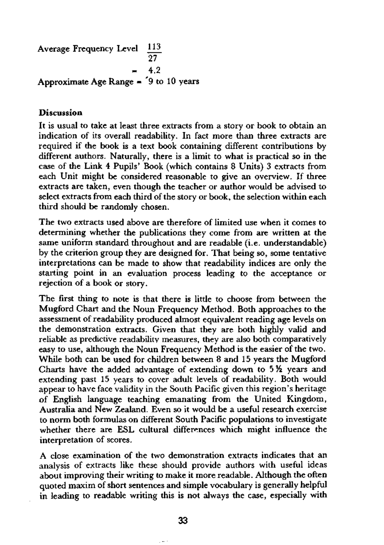Average Frequency Level 113 = **4.2 Approximate Age Range = '9 to 10 years** 

### **Discussion**

It is usual to take at least three extracts from a story or book to obtain an indication of its overall readability. In fact more than three extracts are required if the book is a text book containing different contributions by different authors. Naturally, there is a limit to what is practical so in the case of the Link 4 Pupils' Book (which contains 8 Units) 3 extracts from each Unit might be considered reasonable to give an overview. If three extracts are taken, even though the teacher or author would be advised to select extracts from each third of the story or book, the selection within each third should be randomly chosen.

The two extracts used above are therefore of limited use when it comes to determining whether the publications they come from are written at the same uniform standard throughout and are readable (i.e. understandable) by the criterion group they are designed for. That being so, some tentative interpretations can be made to show that readability indices are only the starting point in an evaluation process leading to the acceptance or rejection of a book or story.

The first thing to note is that there is little to choose from between the Mugford Chart and the Noun Frequency Method. Both approaches to the assessment of readability produced almost equivalent reading age levels on the demonstration extracts. Given that they are both highly valid and reliable as predictive readability measures, they are also both comparatively easy to use, although the Noun Frequency Method is the easier of the two. While both can be used for children between 8 and 15 years the Mugford Charts have the added advantage of extending down to  $5\%$  years and extending past 15 years to cover adult levels of readability. Both would appear to have face validity in the South Pacific given this region's heritage of English language teaching emanating from the United Kingdom, Australia and New Zealand. Even so it would be a useful research exercise to norm both formulas on different South Pacific populations to investigate whether there are ESL cultural differences which might influence the interpretation of scores.

A close examination of the two demonstration extracts indicates that an analysis of extracts like these should provide authors with useful ideas about improving their writing to make it more readable. Although the often quoted maxim of short sentences and simple vocabulary is generally helpful in leading to readable writing this is not always the case, especially with